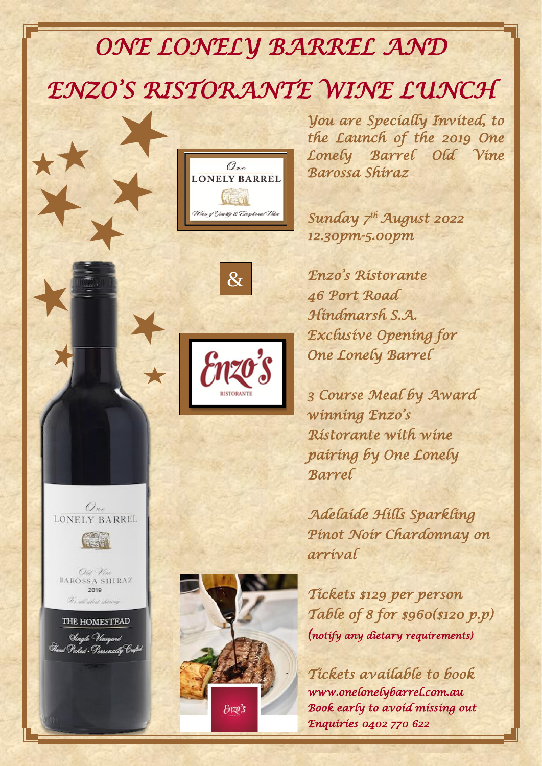## *ONE LONELY BARREL AND*

# *ENZO'S RISTORANTE WINE LUNCH*



&

*You are Specially Invited, to the Launch of the 2019 One Lonely Barrel Old Vine Barossa Shiraz* 

 *Sunday 7 th August 2022 12.30pm-5.00pm* 

 *Enzo's Ristorante 46 Port Road Hindmarsh S.A. Exclusive Opening for One Lonely Barrel* 

 *3 Course Meal by Award winning Enzo's Ristorante with wine pairing by One Lonely Barrel* 

 *Adelaide Hills Sparkling Pinot Noir Chardonnay on arrival* 

 *Tickets \$129 per person Table of 8 for \$960(\$120 p.p) (notify any dietary requirements)* 

 *Tickets available to book www.onelonelybarrel.com.au Book early to avoid missing out Enquiries 0402 770 622* 



Old Vine BAROSSA SHIRAZ  $2019$ We all abed show

THE HOMESTEAD Single Vineyard Fland Picked . Personally Conful